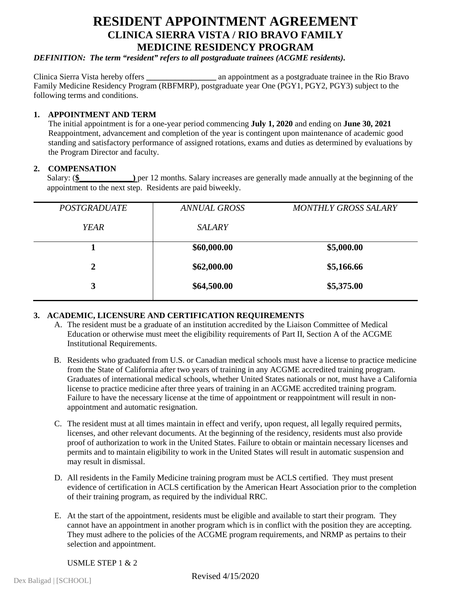# **RESIDENT APPOINTMENT AGREEMENT CLINICA SIERRA VISTA / RIO BRAVO FAMILY MEDICINE RESIDENCY PROGRAM**

*DEFINITION: The term "resident" refers to all postgraduate trainees (ACGME residents).*

Clinica Sierra Vista hereby offers **\_\_\_\_\_\_\_\_\_\_\_\_\_\_\_\_\_** an appointment as a postgraduate trainee in the Rio Bravo Family Medicine Residency Program (RBFMRP), postgraduate year One (PGY1, PGY2, PGY3) subject to the following terms and conditions.

## **1. APPOINTMENT AND TERM**

The initial appointment is for a one-year period commencing **July 1, 2020** and ending on **June 30, 2021** Reappointment, advancement and completion of the year is contingent upon maintenance of academic good standing and satisfactory performance of assigned rotations, exams and duties as determined by evaluations by the Program Director and faculty.

# 2. **COMPENSATION**<br>Salary: (\$

) per 12 months. Salary increases are generally made annually at the beginning of the appointment to the next step. Residents are paid biweekly.

| <b>POSTGRADUATE</b> | <b>ANNUAL GROSS</b> | <b>MONTHLY GROSS SALARY</b> |
|---------------------|---------------------|-----------------------------|
| <b>YEAR</b>         | <b>SALARY</b>       |                             |
|                     | \$60,000.00         | \$5,000.00                  |
| 2                   | \$62,000.00         | \$5,166.66                  |
| 3                   | \$64,500.00         | \$5,375.00                  |
|                     |                     |                             |

# **3. ACADEMIC, LICENSURE AND CERTIFICATION REQUIREMENTS**

- A. The resident must be a graduate of an institution accredited by the Liaison Committee of Medical Education or otherwise must meet the eligibility requirements of Part II, Section A of the ACGME Institutional Requirements.
- B. Residents who graduated from U.S. or Canadian medical schools must have a license to practice medicine from the State of California after two years of training in any ACGME accredited training program. Graduates of international medical schools, whether United States nationals or not, must have a California license to practice medicine after three years of training in an ACGME accredited training program. Failure to have the necessary license at the time of appointment or reappointment will result in nonappointment and automatic resignation.
- C. The resident must at all times maintain in effect and verify, upon request, all legally required permits, licenses, and other relevant documents. At the beginning of the residency, residents must also provide proof of authorization to work in the United States. Failure to obtain or maintain necessary licenses and permits and to maintain eligibility to work in the United States will result in automatic suspension and may result in dismissal.
- D. All residents in the Family Medicine training program must be ACLS certified. They must present evidence of certification in ACLS certification by the American Heart Association prior to the completion of their training program, as required by the individual RRC.
- E. At the start of the appointment, residents must be eligible and available to start their program. They cannot have an appointment in another program which is in conflict with the position they are accepting. They must adhere to the policies of the ACGME program requirements, and NRMP as pertains to their selection and appointment.

USMLE STEP  $1 & 2$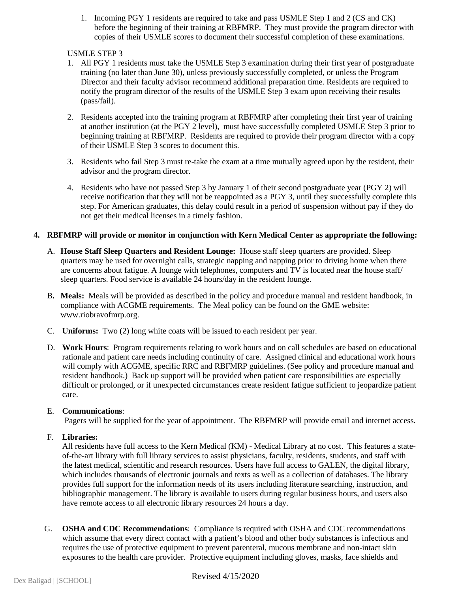1. Incoming PGY 1 residents are required to take and pass USMLE Step 1 and 2 (CS and CK) before the beginning of their training at RBFMRP. They must provide the program director with copies of their USMLE scores to document their successful completion of these examinations.

#### USMLE STEP 3

- 1. All PGY 1 residents must take the USMLE Step 3 examination during their first year of postgraduate training (no later than June 30), unless previously successfully completed, or unless the Program Director and their faculty advisor recommend additional preparation time. Residents are required to notify the program director of the results of the USMLE Step 3 exam upon receiving their results (pass/fail).
- 2. Residents accepted into the training program at RBFMRP after completing their first year of training at another institution (at the PGY 2 level), must have successfully completed USMLE Step 3 prior to beginning training at RBFMRP. Residents are required to provide their program director with a copy of their USMLE Step 3 scores to document this.
- 3. Residents who fail Step 3 must re-take the exam at a time mutually agreed upon by the resident, their advisor and the program director.
- 4. Residents who have not passed Step 3 by January 1 of their second postgraduate year (PGY 2) will receive notification that they will not be reappointed as a PGY 3, until they successfully complete this step. For American graduates, this delay could result in a period of suspension without pay if they do not get their medical licenses in a timely fashion.

## **4. RBFMRP will provide or monitor in conjunction with Kern Medical Center as appropriate the following:**

- A. **House Staff Sleep Quarters and Resident Lounge:** House staff sleep quarters are provided. Sleep quarters may be used for overnight calls, strategic napping and napping prior to driving home when there are concerns about fatigue. A lounge with telephones, computers and TV is located near the house staff/ sleep quarters. Food service is available 24 hours/day in the resident lounge.
- B**. Meals:** Meals will be provided as described in the policy and procedure manual and resident handbook, in compliance with ACGME requirements. The Meal policy can be found on the GME website: www.riobravofmrp.org.
- C. **Uniforms:** Two (2) long white coats will be issued to each resident per year.
- D. **Work Hours**: Program requirements relating to work hours and on call schedules are based on educational rationale and patient care needs including continuity of care. Assigned clinical and educational work hours will comply with ACGME, specific RRC and RBFMRP guidelines. (See policy and procedure manual and resident handbook.) Back up support will be provided when patient care responsibilities are especially difficult or prolonged, or if unexpected circumstances create resident fatigue sufficient to jeopardize patient care.

#### E. **Communications**:

Pagers will be supplied for the year of appointment. The RBFMRP will provide email and internet access.

# F. **Libraries:**

All residents have full access to the Kern Medical (KM) - Medical Library at no cost. This features a stateof-the-art library with full library services to assist physicians, faculty, residents, students, and staff with the latest medical, scientific and research resources. Users have full access to GALEN, the digital library, which includes thousands of electronic journals and texts as well as a collection of databases. The library provides full support for the information needs of its users including literature searching, instruction, and bibliographic management. The library is available to users during regular business hours, and users also have remote access to all electronic library resources 24 hours a day.

G. **OSHA and CDC Recommendations**: Compliance is required with OSHA and CDC recommendations which assume that every direct contact with a patient's blood and other body substances is infectious and requires the use of protective equipment to prevent parenteral, mucous membrane and non-intact skin exposures to the health care provider. Protective equipment including gloves, masks, face shields and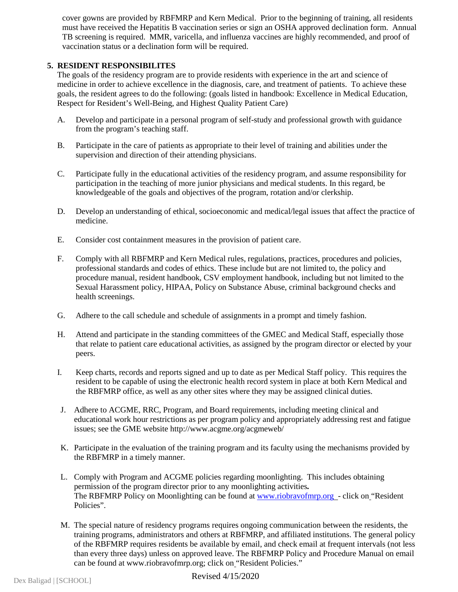cover gowns are provided by RBFMRP and Kern Medical. Prior to the beginning of training, all residents must have received the Hepatitis B vaccination series or sign an OSHA approved declination form. Annual TB screening is required. MMR, varicella, and influenza vaccines are highly recommended, and proof of vaccination status or a declination form will be required.

## **5. RESIDENT RESPONSIBILITES**

The goals of the residency program are to provide residents with experience in the art and science of medicine in order to achieve excellence in the diagnosis, care, and treatment of patients. To achieve these goals, the resident agrees to do the following: (goals listed in handbook: Excellence in Medical Education, Respect for Resident's Well-Being, and Highest Quality Patient Care)

- A. Develop and participate in a personal program of self-study and professional growth with guidance from the program's teaching staff.
- B. Participate in the care of patients as appropriate to their level of training and abilities under the supervision and direction of their attending physicians.
- C. Participate fully in the educational activities of the residency program, and assume responsibility for participation in the teaching of more junior physicians and medical students. In this regard, be knowledgeable of the goals and objectives of the program, rotation and/or clerkship.
- D. Develop an understanding of ethical, socioeconomic and medical/legal issues that affect the practice of medicine.
- E. Consider cost containment measures in the provision of patient care.
- F. Comply with all RBFMRP and Kern Medical rules, regulations, practices, procedures and policies, professional standards and codes of ethics. These include but are not limited to, the policy and procedure manual, resident handbook, CSV employment handbook, including but not limited to the Sexual Harassment policy, HIPAA, Policy on Substance Abuse, criminal background checks and health screenings.
- G. Adhere to the call schedule and schedule of assignments in a prompt and timely fashion.
- H. Attend and participate in the standing committees of the GMEC and Medical Staff, especially those that relate to patient care educational activities, as assigned by the program director or elected by your peers.
- I. Keep charts, records and reports signed and up to date as per Medical Staff policy. This requires the resident to be capable of using the electronic health record system in place at both Kern Medical and the RBFMRP office, as well as any other sites where they may be assigned clinical duties.
- J. Adhere to ACGME, RRC, Program, and Board requirements, including meeting clinical and educational work hour restrictions as per program policy and appropriately addressing rest and fatigue issues; see the GME website http://www.acgme.org/acgmeweb/
- K. Participate in the evaluation of the training program and its faculty using the mechanisms provided by the RBFMRP in a timely manner.
- L. Comply with Program and ACGME policies regarding moonlighting. This includes obtaining permission of the program director prior to any moonlighting activities*.* The RBFMRP Policy on Moonlighting can be found a[t www.riobravofmrp.org](http://www.riobravofmrp.org/) - click on "Resident" Policies".
- M. The special nature of residency programs requires ongoing communication between the residents, the training programs, administrators and others at RBFMRP, and affiliated institutions. The general policy of the RBFMRP requires residents be available by email, and check email at frequent intervals (not less than every three days) unless on approved leave. The RBFMRP Policy and Procedure Manual on email can be found at www.riobravofmrp.org; click on "Resident Policies."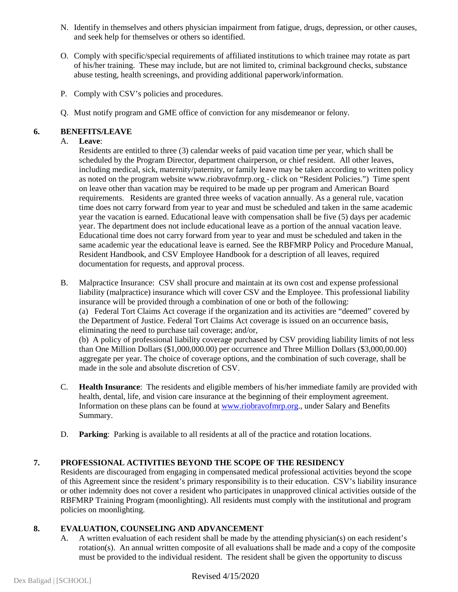- N. Identify in themselves and others physician impairment from fatigue, drugs, depression, or other causes, and seek help for themselves or others so identified.
- O. Comply with specific/special requirements of affiliated institutions to which trainee may rotate as part of his/her training. These may include, but are not limited to, criminal background checks, substance abuse testing, health screenings, and providing additional paperwork/information.
- P. Comply with CSV's policies and procedures.
- Q. Must notify program and GME office of conviction for any misdemeanor or felony.

# **6. BENEFITS/LEAVE**

## A. **Leave**:

Residents are entitled to three (3) calendar weeks of paid vacation time per year, which shall be scheduled by the Program Director, department chairperson, or chief resident. All other leaves, including medical, sick, maternity/paternity, or family leave may be taken according to written policy as noted on the program website www.riobravofmrp.org - click on "Resident Policies.") Time spent on leave other than vacation may be required to be made up per program and American Board requirements. Residents are granted three weeks of vacation annually. As a general rule, vacation time does not carry forward from year to year and must be scheduled and taken in the same academic year the vacation is earned. Educational leave with compensation shall be five (5) days per academic year. The department does not include educational leave as a portion of the annual vacation leave. Educational time does not carry forward from year to year and must be scheduled and taken in the same academic year the educational leave is earned. See the RBFMRP Policy and Procedure Manual, Resident Handbook, and CSV Employee Handbook for a description of all leaves, required documentation for requests, and approval process.

B. Malpractice Insurance: CSV shall procure and maintain at its own cost and expense professional liability (malpractice) insurance which will cover CSV and the Employee. This professional liability insurance will be provided through a combination of one or both of the following: (a) Federal Tort Claims Act coverage if the organization and its activities are "deemed" covered by the Department of Justice. Federal Tort Claims Act coverage is issued on an occurrence basis, eliminating the need to purchase tail coverage; and/or,

(b) A policy of professional liability coverage purchased by CSV providing liability limits of not less than One Million Dollars (\$1,000,000.00) per occurrence and Three Million Dollars (\$3,000,00.00) aggregate per year. The choice of coverage options, and the combination of such coverage, shall be made in the sole and absolute discretion of CSV.

- C. **Health Insurance**: The residents and eligible members of his/her immediate family are provided with health, dental, life, and vision care insurance at the beginning of their employment agreement. Information on these plans can be found at [www.riobravofmrp.org.](http://www.riobravofmrp.org/), under Salary and Benefits Summary.
- D. **Parking**: Parking is available to all residents at all of the practice and rotation locations.

# **7. PROFESSIONAL ACTIVITIES BEYOND THE SCOPE OF THE RESIDENCY**

Residents are discouraged from engaging in compensated medical professional activities beyond the scope of this Agreement since the resident's primary responsibility is to their education. CSV's liability insurance or other indemnity does not cover a resident who participates in unapproved clinical activities outside of the RBFMRP Training Program (moonlighting). All residents must comply with the institutional and program policies on moonlighting.

#### **8. EVALUATION, COUNSELING AND ADVANCEMENT**

A. A written evaluation of each resident shall be made by the attending physician(s) on each resident's rotation(s). An annual written composite of all evaluations shall be made and a copy of the composite must be provided to the individual resident. The resident shall be given the opportunity to discuss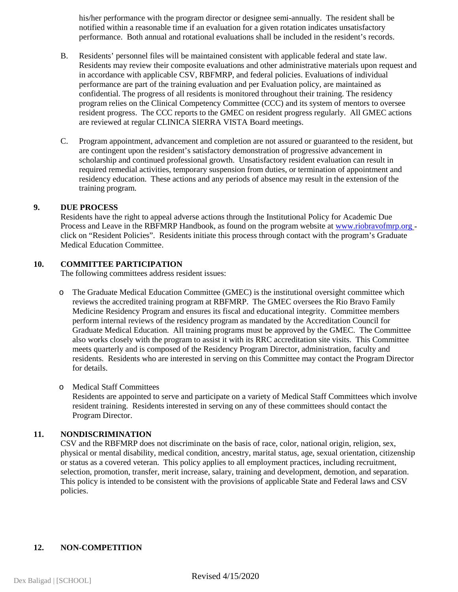his/her performance with the program director or designee semi-annually. The resident shall be notified within a reasonable time if an evaluation for a given rotation indicates unsatisfactory performance. Both annual and rotational evaluations shall be included in the resident's records.

- B. Residents' personnel files will be maintained consistent with applicable federal and state law. Residents may review their composite evaluations and other administrative materials upon request and in accordance with applicable CSV, RBFMRP, and federal policies. Evaluations of individual performance are part of the training evaluation and per Evaluation policy, are maintained as confidential. The progress of all residents is monitored throughout their training. The residency program relies on the Clinical Competency Committee (CCC) and its system of mentors to oversee resident progress. The CCC reports to the GMEC on resident progress regularly. All GMEC actions are reviewed at regular CLINICA SIERRA VISTA Board meetings.
- C. Program appointment, advancement and completion are not assured or guaranteed to the resident, but are contingent upon the resident's satisfactory demonstration of progressive advancement in scholarship and continued professional growth. Unsatisfactory resident evaluation can result in required remedial activities, temporary suspension from duties, or termination of appointment and residency education. These actions and any periods of absence may result in the extension of the training program.

#### **9. DUE PROCESS**

Residents have the right to appeal adverse actions through the Institutional Policy for Academic Due Process and Leave in the RBFMRP Handbook, as found on the program website at [www.riobravofmrp.org](http://www.mednet.ucla.edu/) click on "Resident Policies". Residents initiate this process through contact with the program's Graduate Medical Education Committee.

#### **10. COMMITTEE PARTICIPATION**

The following committees address resident issues:

o The Graduate Medical Education Committee (GMEC) is the institutional oversight committee which reviews the accredited training program at RBFMRP. The GMEC oversees the Rio Bravo Family Medicine Residency Program and ensures its fiscal and educational integrity. Committee members perform internal reviews of the residency program as mandated by the Accreditation Council for Graduate Medical Education. All training programs must be approved by the GMEC. The Committee also works closely with the program to assist it with its RRC accreditation site visits. This Committee meets quarterly and is composed of the Residency Program Director, administration, faculty and residents. Residents who are interested in serving on this Committee may contact the Program Director for details.

#### o Medical Staff Committees

Residents are appointed to serve and participate on a variety of Medical Staff Committees which involve resident training. Residents interested in serving on any of these committees should contact the Program Director.

#### **11. NONDISCRIMINATION**

CSV and the RBFMRP does not discriminate on the basis of race, color, national origin, religion, sex, physical or mental disability, medical condition, ancestry, marital status, age, sexual orientation, citizenship or status as a covered veteran. This policy applies to all employment practices, including recruitment, selection, promotion, transfer, merit increase, salary, training and development, demotion, and separation. This policy is intended to be consistent with the provisions of applicable State and Federal laws and CSV policies.

#### **12. NON-COMPETITION**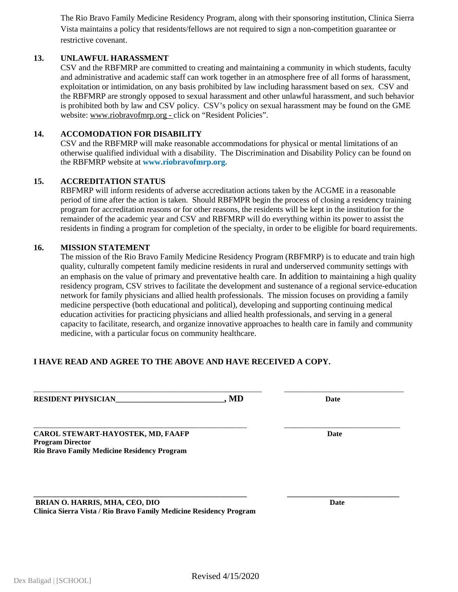The Rio Bravo Family Medicine Residency Program, along with their sponsoring institution, Clinica Sierra Vista maintains a policy that residents/fellows are not required to sign a non-competition guarantee or restrictive covenant.

# **13. UNLAWFUL HARASSMENT**

CSV and the RBFMRP are committed to creating and maintaining a community in which students, faculty and administrative and academic staff can work together in an atmosphere free of all forms of harassment, exploitation or intimidation, on any basis prohibited by law including harassment based on sex. CSV and the RBFMRP are strongly opposed to sexual harassment and other unlawful harassment, and such behavior is prohibited both by law and CSV policy. CSV's policy on sexual harassment may be found on the GME website: www.riobravofmrp.org - click on "Resident Policies".

#### **14. ACCOMODATION FOR DISABILITY**

CSV and the RBFMRP will make reasonable accommodations for physical or mental limitations of an otherwise qualified individual with a disability. The Discrimination and Disability Policy can be found on the RBFMRP website at **www.riobravofmrp.org.**

## **15. ACCREDITATION STATUS**

RBFMRP will inform residents of adverse accreditation actions taken by the ACGME in a reasonable period of time after the action is taken. Should RBFMPR begin the process of closing a residency training program for accreditation reasons or for other reasons, the residents will be kept in the institution for the remainder of the academic year and CSV and RBFMRP will do everything within its power to assist the residents in finding a program for completion of the specialty, in order to be eligible for board requirements.

#### **16. MISSION STATEMENT**

The mission of the Rio Bravo Family Medicine Residency Program (RBFMRP) is to educate and train high quality, culturally competent family medicine residents in rural and underserved community settings with an emphasis on the value of primary and preventative health care. In addition to maintaining a high quality residency program, CSV strives to facilitate the development and sustenance of a regional service-education network for family physicians and allied health professionals. The mission focuses on providing a family medicine perspective (both educational and political), developing and supporting continuing medical education activities for practicing physicians and allied health professionals, and serving in a general capacity to facilitate, research, and organize innovative approaches to health care in family and community medicine, with a particular focus on community healthcare.

\_\_\_\_\_\_\_\_\_\_\_\_\_\_\_\_\_\_\_\_\_\_\_\_\_\_\_\_\_\_\_\_\_\_\_\_\_\_\_\_\_\_\_\_\_\_\_\_\_\_\_\_\_\_\_\_\_\_\_\_\_ \_\_\_\_\_\_\_\_\_\_\_\_\_\_\_\_\_\_\_\_\_\_\_\_\_\_\_\_\_\_\_\_

\_\_\_\_\_\_\_\_\_\_\_\_\_\_\_\_\_\_\_\_\_\_\_\_\_\_\_\_\_\_\_\_\_\_\_\_\_\_\_\_\_\_\_\_\_\_\_\_\_\_\_\_\_\_\_\_\_ \_\_\_\_\_\_\_\_\_\_\_\_\_\_\_\_\_\_\_\_\_\_\_\_\_\_\_\_\_\_\_

**\_\_\_\_\_\_\_\_\_\_\_\_\_\_\_\_\_\_\_\_\_\_\_\_\_\_\_\_\_\_\_\_\_\_\_\_\_\_\_\_\_\_\_\_\_\_\_\_\_\_\_\_\_\_\_\_\_ \_\_\_\_\_\_\_\_\_\_\_\_\_\_\_\_\_\_\_\_\_\_\_\_\_\_\_\_\_\_**

# **I HAVE READ AND AGREE TO THE ABOVE AND HAVE RECEIVED A COPY.**

**RESIDENT PHYSICIAN\_\_\_\_\_\_\_\_\_\_\_\_\_\_\_\_\_\_\_\_\_\_\_\_\_\_\_\_\_, MD Date**

**CAROL STEWART-HAYOSTEK, MD, FAAFP Date Program Director Rio Bravo Family Medicine Residency Program**

**BRIAN O. HARRIS, MHA, CEO, DIO Date Clinica Sierra Vista / Rio Bravo Family Medicine Residency Program**

Dex Baligad | [SCHOOL] **Revised 4/15/2020**